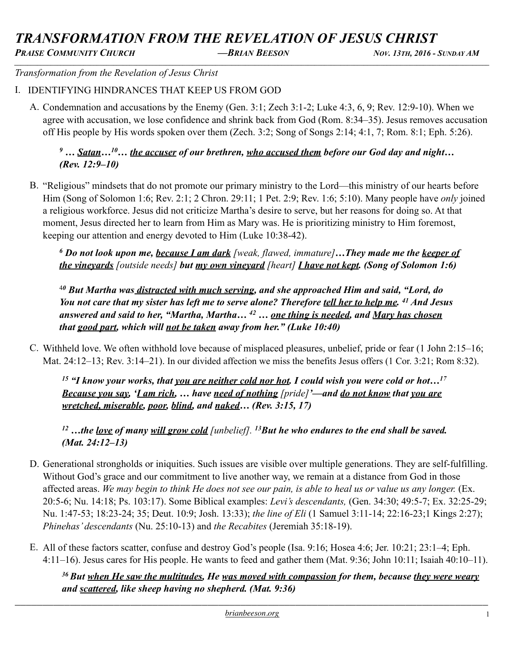# *TRANSFORMATION FROM THE REVELATION OF JESUS CHRIST*

*PRAISE COMMUNITY CHURCH —BRIAN BEESON NOV. 13TH, 2016 - SUNDAY AM \_\_\_\_\_\_\_\_\_\_\_\_\_\_\_\_\_\_\_\_\_\_\_\_\_\_\_\_\_\_\_\_\_\_\_\_\_\_\_\_\_\_\_\_\_\_\_\_\_\_\_\_\_\_\_\_\_\_\_\_\_\_\_\_\_\_\_\_\_\_\_\_\_\_\_\_\_\_\_\_\_\_\_\_\_\_\_\_\_\_\_\_\_\_\_\_\_\_\_\_\_\_\_\_\_\_\_\_\_\_\_\_\_\_\_\_\_\_\_\_\_\_\_\_\_\_\_\_\_\_\_\_\_\_\_\_\_\_\_\_\_\_\_\_*

*Transformation from the Revelation of Jesus Christ* 

### I. IDENTIFYING HINDRANCES THAT KEEP US FROM GOD

A. Condemnation and accusations by the Enemy (Gen. 3:1; Zech 3:1-2; Luke 4:3, 6, 9; Rev. 12:9-10). When we agree with accusation, we lose confidence and shrink back from God (Rom. 8:34–35). Jesus removes accusation off His people by His words spoken over them (Zech. 3:2; Song of Songs 2:14; 4:1, 7; Rom. 8:1; Eph. 5:26).

### <sup>9</sup> ... Satan...<sup>10</sup>... the accuser of our brethren, who accused them before our God day and night... *(Rev. 12:9–10)*

B. "Religious" mindsets that do not promote our primary ministry to the Lord—this ministry of our hearts before Him (Song of Solomon 1:6; Rev. 2:1; 2 Chron. 29:11; 1 Pet. 2:9; Rev. 1:6; 5:10). Many people have *only* joined a religious workforce. Jesus did not criticize Martha's desire to serve, but her reasons for doing so. At that moment, Jesus directed her to learn from Him as Mary was. He is prioritizing ministry to Him foremost, keeping our attention and energy devoted to Him (Luke 10:38-42).

*6 Do not look upon me, because I am dark [weak, flawed, immature]…They made me the keeper of the vineyards [outside needs] but my own vineyard [heart] I have not kept. (Song of Solomon 1:6)*

<sup>4</sup>*0 But Martha was distracted with much serving, and she approached Him and said, "Lord, do You not care that my sister has left me to serve alone? Therefore tell her to help me. 41 And Jesus answered and said to her, "Martha, Martha… 42 … one thing is needed, and Mary has chosen that good part, which will not be taken away from her." (Luke 10:40)* 

C. Withheld love. We often withhold love because of misplaced pleasures, unbelief, pride or fear (1 John 2:15–16; Mat. 24:12–13; Rev. 3:14–21). In our divided affection we miss the benefits Jesus offers (1 Cor. 3:21; Rom 8:32).

*15 "I know your works, that you are neither cold nor hot. I could wish you were cold or hot…17 Because you say, 'I am rich, … have need of nothing [pride]'—and do not know that you are wretched, miserable, poor, blind, and naked… (Rev. 3:15, 17)* 

*12 …the love of many will grow cold [unbelief]. 13But he who endures to the end shall be saved. (Mat. 24:12–13)* 

- D. Generational strongholds or iniquities. Such issues are visible over multiple generations. They are self-fulfilling. Without God's grace and our commitment to live another way, we remain at a distance from God in those affected areas. We may begin to think He does not see our pain, is able to heal us or value us any longer. (Ex. 20:5-6; Nu. 14:18; Ps. 103:17). Some Biblical examples: *Levi's descendants,* (Gen. 34:30; 49:5-7; Ex. 32:25-29; Nu. 1:47-53; 18:23-24; 35; Deut. 10:9; Josh. 13:33); *the line of Eli* (1 Samuel 3:11-14; 22:16-23;1 Kings 2:27); *Phinehas' descendants* (Nu. 25:10-13) and *the Recabites* (Jeremiah 35:18-19).
- E. All of these factors scatter, confuse and destroy God's people (Isa. 9:16; Hosea 4:6; Jer. 10:21; 23:1–4; Eph. 4:11–16). Jesus cares for His people. He wants to feed and gather them (Mat. 9:36; John 10:11; Isaiah 40:10–11).

*36 But when He saw the multitudes, He was moved with compassion for them, because they were weary and scattered, like sheep having no shepherd. (Mat. 9:36)*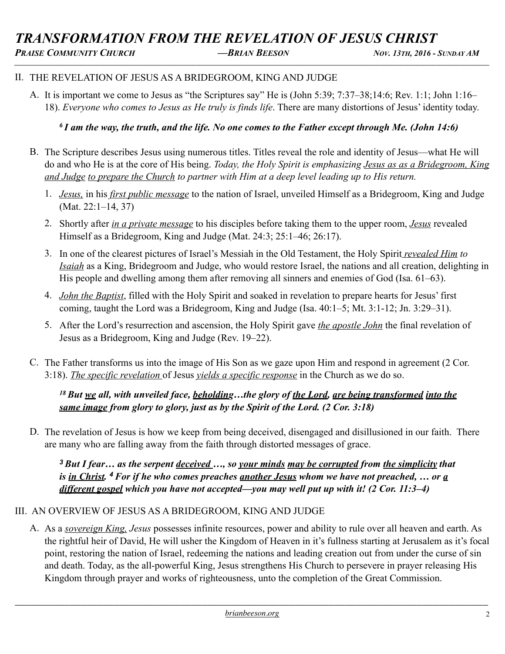#### II. THE REVELATION OF JESUS AS A BRIDEGROOM, KING AND JUDGE

A. It is important we come to Jesus as "the Scriptures say" He is (John 5:39; 7:37–38;14:6; Rev. 1:1; John 1:16– 18). *Everyone who comes to Jesus as He truly is finds life*. There are many distortions of Jesus' identity today.

### *6 I am the way, the truth, and the life. No one comes to the Father except through Me. (John 14:6)*

- B. The Scripture describes Jesus using numerous titles. Titles reveal the role and identity of Jesus—what He will do and who He is at the core of His being. *Today, the Holy Spirit is emphasizing Jesus as as a Bridegroom, King and Judge to prepare the Church to partner with Him at a deep level leading up to His return.*
	- 1. *Jesus,* in his *first public message* to the nation of Israel, unveiled Himself as a Bridegroom, King and Judge (Mat. 22:1–14, 37)
	- 2. Shortly after *in a private message* to his disciples before taking them to the upper room, *Jesus* revealed Himself as a Bridegroom, King and Judge (Mat. 24:3; 25:1–46; 26:17).
	- 3. In one of the clearest pictures of Israel's Messiah in the Old Testament, the Holy Spirit *revealed Him to Isaiah* as a King, Bridegroom and Judge, who would restore Israel, the nations and all creation, delighting in His people and dwelling among them after removing all sinners and enemies of God (Isa. 61–63).
	- 4. *John the Baptist*, filled with the Holy Spirit and soaked in revelation to prepare hearts for Jesus' first coming, taught the Lord was a Bridegroom, King and Judge (Isa. 40:1–5; Mt. 3:1-12; Jn. 3:29–31).
	- 5. After the Lord's resurrection and ascension, the Holy Spirit gave *the apostle John* the final revelation of Jesus as a Bridegroom, King and Judge (Rev. 19–22).
- C. The Father transforms us into the image of His Son as we gaze upon Him and respond in agreement (2 Cor. 3:18). *The specific revelation* of Jesus *yields a specific response* in the Church as we do so.

### *18 But we all, with unveiled face, beholding…the glory of the Lord, are being transformed into the same image from glory to glory, just as by the Spirit of the Lord. (2 Cor. 3:18)*

D. The revelation of Jesus is how we keep from being deceived, disengaged and disillusioned in our faith. There are many who are falling away from the faith through distorted messages of grace.

*<sup>3</sup>But I fear… as the serpent deceived …, so your minds may be corrupted from the simplicity that is in Christ. <sup>4</sup>For if he who comes preaches another Jesus whom we have not preached, … or a different gospel which you have not accepted—you may well put up with it! (2 Cor. 11:3–4)* 

### III. AN OVERVIEW OF JESUS AS A BRIDEGROOM, KING AND JUDGE

A. As a *sovereign King, Jesus* possesses infinite resources, power and ability to rule over all heaven and earth. As the rightful heir of David, He will usher the Kingdom of Heaven in it's fullness starting at Jerusalem as it's focal point, restoring the nation of Israel, redeeming the nations and leading creation out from under the curse of sin and death. Today, as the all-powerful King, Jesus strengthens His Church to persevere in prayer releasing His Kingdom through prayer and works of righteousness, unto the completion of the Great Commission.